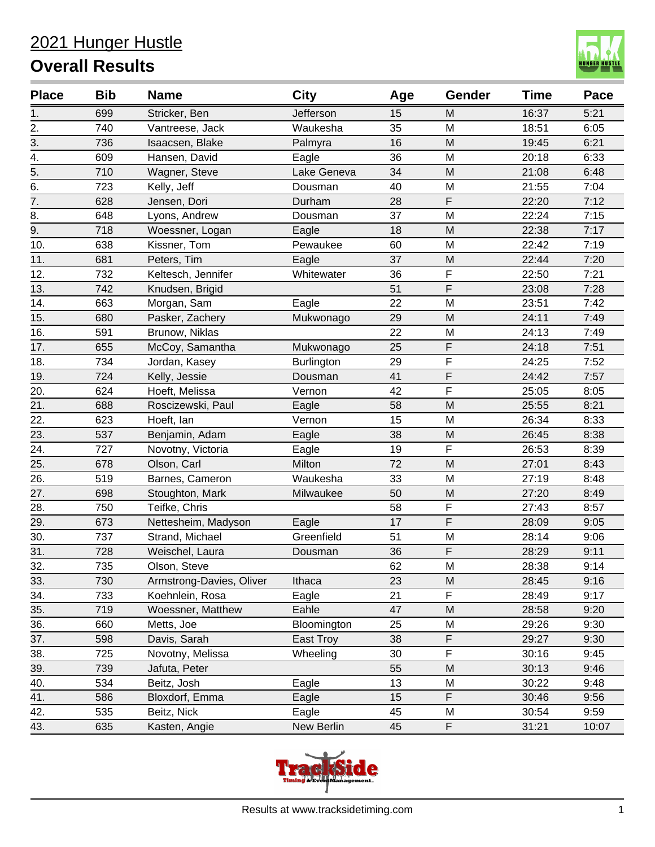

| <b>Place</b> | <b>Bib</b> | <b>Name</b>              | <b>City</b> | Age | Gender      | <b>Time</b> | Pace  |
|--------------|------------|--------------------------|-------------|-----|-------------|-------------|-------|
| 1.           | 699        | Stricker, Ben            | Jefferson   | 15  | M           | 16:37       | 5:21  |
| 2.           | 740        | Vantreese, Jack          | Waukesha    | 35  | M           | 18:51       | 6:05  |
| 3.           | 736        | Isaacsen, Blake          | Palmyra     | 16  | M           | 19:45       | 6:21  |
| 4.           | 609        | Hansen, David            | Eagle       | 36  | M           | 20:18       | 6:33  |
| 5.           | 710        | Wagner, Steve            | Lake Geneva | 34  | M           | 21:08       | 6:48  |
| 6.           | 723        | Kelly, Jeff              | Dousman     | 40  | M           | 21:55       | 7:04  |
| 7.           | 628        | Jensen, Dori             | Durham      | 28  | $\mathsf F$ | 22:20       | 7:12  |
| 8.           | 648        | Lyons, Andrew            | Dousman     | 37  | M           | 22:24       | 7:15  |
| 9.           | 718        | Woessner, Logan          | Eagle       | 18  | M           | 22:38       | 7:17  |
| 10.          | 638        | Kissner, Tom             | Pewaukee    | 60  | M           | 22:42       | 7:19  |
| 11.          | 681        | Peters, Tim              | Eagle       | 37  | M           | 22:44       | 7:20  |
| 12.          | 732        | Keltesch, Jennifer       | Whitewater  | 36  | $\mathsf F$ | 22:50       | 7:21  |
| 13.          | 742        | Knudsen, Brigid          |             | 51  | F           | 23:08       | 7:28  |
| 14.          | 663        | Morgan, Sam              | Eagle       | 22  | M           | 23:51       | 7:42  |
| 15.          | 680        | Pasker, Zachery          | Mukwonago   | 29  | M           | 24:11       | 7:49  |
| 16.          | 591        | Brunow, Niklas           |             | 22  | M           | 24:13       | 7:49  |
| 17.          | 655        | McCoy, Samantha          | Mukwonago   | 25  | F           | 24:18       | 7:51  |
| 18.          | 734        | Jordan, Kasey            | Burlington  | 29  | $\mathsf F$ | 24:25       | 7:52  |
| 19.          | 724        | Kelly, Jessie            | Dousman     | 41  | $\mathsf F$ | 24:42       | 7:57  |
| 20.          | 624        | Hoeft, Melissa           | Vernon      | 42  | $\mathsf F$ | 25:05       | 8:05  |
| 21.          | 688        | Roscizewski, Paul        | Eagle       | 58  | M           | 25:55       | 8:21  |
| 22.          | 623        | Hoeft, lan               | Vernon      | 15  | M           | 26:34       | 8:33  |
| 23.          | 537        | Benjamin, Adam           | Eagle       | 38  | M           | 26:45       | 8:38  |
| 24.          | 727        | Novotny, Victoria        | Eagle       | 19  | $\mathsf F$ | 26:53       | 8:39  |
| 25.          | 678        | Olson, Carl              | Milton      | 72  | M           | 27:01       | 8:43  |
| 26.          | 519        | Barnes, Cameron          | Waukesha    | 33  | M           | 27:19       | 8:48  |
| 27.          | 698        | Stoughton, Mark          | Milwaukee   | 50  | M           | 27:20       | 8:49  |
| 28.          | 750        | Teifke, Chris            |             | 58  | $\mathsf F$ | 27:43       | 8:57  |
| 29.          | 673        | Nettesheim, Madyson      | Eagle       | 17  | $\mathsf F$ | 28:09       | 9:05  |
| 30.          | 737        | Strand, Michael          | Greenfield  | 51  | M           | 28:14       | 9:06  |
| 31.          | 728        | Weischel, Laura          | Dousman     | 36  | F           | 28:29       | 9:11  |
| 32.          | 735        | Olson, Steve             |             | 62  | ${\sf M}$   | 28:38       | 9:14  |
| 33.          | 730        | Armstrong-Davies, Oliver | Ithaca      | 23  | M           | 28:45       | 9:16  |
| 34.          | 733        | Koehnlein, Rosa          | Eagle       | 21  | $\mathsf F$ | 28:49       | 9:17  |
| 35.          | 719        | Woessner, Matthew        | Eahle       | 47  | M           | 28:58       | 9:20  |
| 36.          | 660        | Metts, Joe               | Bloomington | 25  | M           | 29:26       | 9:30  |
| 37.          | 598        | Davis, Sarah             | East Troy   | 38  | F           | 29:27       | 9:30  |
| 38.          | 725        | Novotny, Melissa         | Wheeling    | 30  | $\mathsf F$ | 30:16       | 9:45  |
| 39.          | 739        | Jafuta, Peter            |             | 55  | M           | 30:13       | 9:46  |
| 40.          | 534        | Beitz, Josh              | Eagle       | 13  | M           | 30:22       | 9:48  |
| 41.          | 586        | Bloxdorf, Emma           | Eagle       | 15  | F           | 30:46       | 9:56  |
| 42.          | 535        | Beitz, Nick              | Eagle       | 45  | M           | 30:54       | 9:59  |
| 43.          | 635        | Kasten, Angie            | New Berlin  | 45  | $\mathsf F$ | 31:21       | 10:07 |

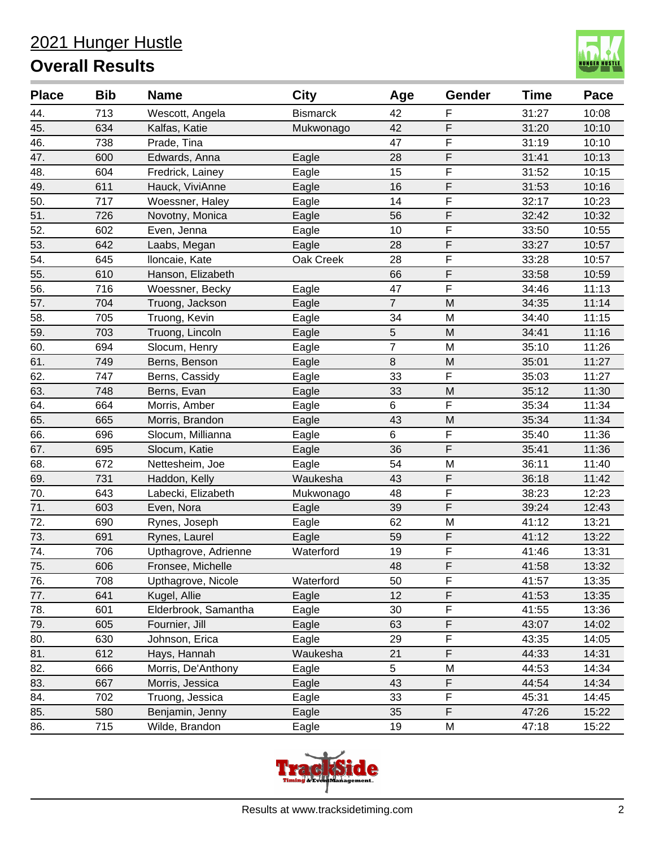

| <b>Place</b> | <b>Bib</b> | <b>Name</b>          | <b>City</b>     | Age            | <b>Gender</b> | <b>Time</b> | Pace  |
|--------------|------------|----------------------|-----------------|----------------|---------------|-------------|-------|
| 44.          | 713        | Wescott, Angela      | <b>Bismarck</b> | 42             | F             | 31:27       | 10:08 |
| 45.          | 634        | Kalfas, Katie        | Mukwonago       | 42             | F             | 31:20       | 10:10 |
| 46.          | 738        | Prade, Tina          |                 | 47             | F             | 31:19       | 10:10 |
| 47.          | 600        | Edwards, Anna        | Eagle           | 28             | F             | 31:41       | 10:13 |
| 48.          | 604        | Fredrick, Lainey     | Eagle           | 15             | F             | 31:52       | 10:15 |
| 49.          | 611        | Hauck, ViviAnne      | Eagle           | 16             | F             | 31:53       | 10:16 |
| 50.          | 717        | Woessner, Haley      | Eagle           | 14             | F             | 32:17       | 10:23 |
| 51.          | 726        | Novotny, Monica      | Eagle           | 56             | F             | 32:42       | 10:32 |
| 52.          | 602        | Even, Jenna          | Eagle           | 10             | F             | 33:50       | 10:55 |
| 53.          | 642        | Laabs, Megan         | Eagle           | 28             | F             | 33:27       | 10:57 |
| 54.          | 645        | Iloncaie, Kate       | Oak Creek       | 28             | F             | 33:28       | 10:57 |
| 55.          | 610        | Hanson, Elizabeth    |                 | 66             | F             | 33:58       | 10:59 |
| 56.          | 716        | Woessner, Becky      | Eagle           | 47             | F             | 34:46       | 11:13 |
| 57.          | 704        | Truong, Jackson      | Eagle           | $\overline{7}$ | M             | 34:35       | 11:14 |
| 58.          | 705        | Truong, Kevin        | Eagle           | 34             | M             | 34:40       | 11:15 |
| 59.          | 703        | Truong, Lincoln      | Eagle           | 5              | M             | 34:41       | 11:16 |
| 60.          | 694        | Slocum, Henry        | Eagle           | $\overline{7}$ | M             | 35:10       | 11:26 |
| 61.          | 749        | Berns, Benson        | Eagle           | $\,8\,$        | M             | 35:01       | 11:27 |
| 62.          | 747        | Berns, Cassidy       | Eagle           | 33             | F             | 35:03       | 11:27 |
| 63.          | 748        | Berns, Evan          | Eagle           | 33             | M             | 35:12       | 11:30 |
| 64.          | 664        | Morris, Amber        | Eagle           | 6              | F             | 35:34       | 11:34 |
| 65.          | 665        | Morris, Brandon      | Eagle           | 43             | M             | 35:34       | 11:34 |
| 66.          | 696        | Slocum, Millianna    | Eagle           | 6              | F             | 35:40       | 11:36 |
| 67.          | 695        | Slocum, Katie        | Eagle           | 36             | F             | 35:41       | 11:36 |
| 68.          | 672        | Nettesheim, Joe      | Eagle           | 54             | M             | 36:11       | 11:40 |
| 69.          | 731        | Haddon, Kelly        | Waukesha        | 43             | F             | 36:18       | 11:42 |
| 70.          | 643        | Labecki, Elizabeth   | Mukwonago       | 48             | F             | 38:23       | 12:23 |
| 71.          | 603        | Even, Nora           | Eagle           | 39             | F             | 39:24       | 12:43 |
| 72.          | 690        | Rynes, Joseph        | Eagle           | 62             | M             | 41:12       | 13:21 |
| 73.          | 691        | Rynes, Laurel        | Eagle           | 59             | F             | 41:12       | 13:22 |
| 74.          | 706        | Upthagrove, Adrienne | Waterford       | 19             | F             | 41:46       | 13:31 |
| 75.          | 606        | Fronsee, Michelle    |                 | 48             | F             | 41:58       | 13:32 |
| 76.          | 708        | Upthagrove, Nicole   | Waterford       | 50             | F             | 41:57       | 13:35 |
| 77.          | 641        | Kugel, Allie         | Eagle           | 12             | F             | 41:53       | 13:35 |
| 78.          | 601        | Elderbrook, Samantha | Eagle           | 30             | F             | 41:55       | 13:36 |
| 79.          | 605        | Fournier, Jill       | Eagle           | 63             | F             | 43:07       | 14:02 |
| 80.          | 630        | Johnson, Erica       | Eagle           | 29             | F             | 43:35       | 14:05 |
| 81.          | 612        | Hays, Hannah         | Waukesha        | 21             | F             | 44:33       | 14:31 |
| 82.          | 666        | Morris, De'Anthony   | Eagle           | 5              | M             | 44:53       | 14:34 |
| 83.          | 667        | Morris, Jessica      | Eagle           | 43             | F             | 44:54       | 14:34 |
| 84.          | 702        | Truong, Jessica      | Eagle           | 33             | F             | 45:31       | 14:45 |
| 85.          | 580        | Benjamin, Jenny      | Eagle           | 35             | F             | 47:26       | 15:22 |
| 86.          | 715        | Wilde, Brandon       | Eagle           | 19             | M             | 47:18       | 15:22 |

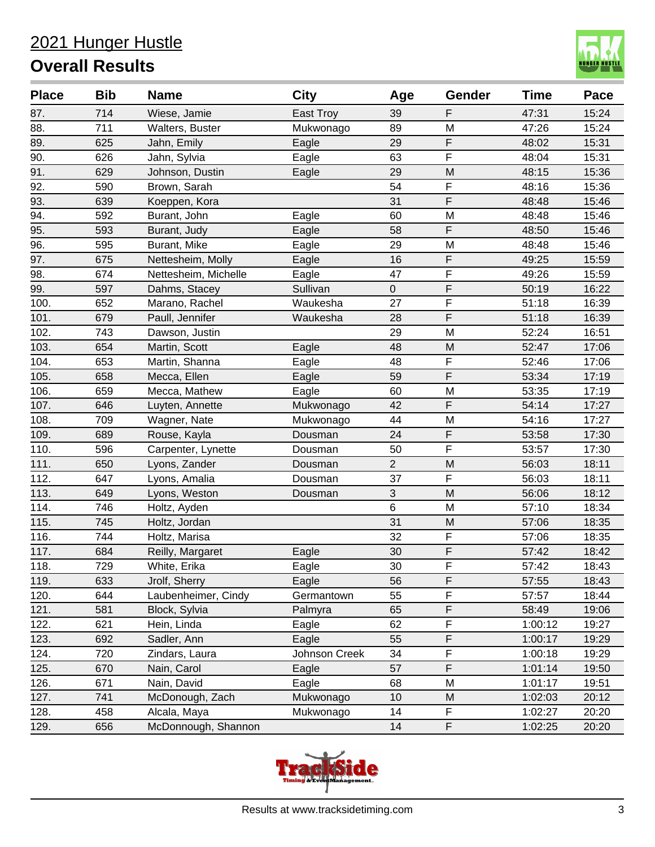

| <b>Place</b> | <b>Bib</b> | <b>Name</b>          | <b>City</b>   | Age            | Gender | <b>Time</b> | Pace  |
|--------------|------------|----------------------|---------------|----------------|--------|-------------|-------|
| 87.          | 714        | Wiese, Jamie         | East Troy     | 39             | F      | 47:31       | 15:24 |
| 88.          | 711        | Walters, Buster      | Mukwonago     | 89             | M      | 47:26       | 15:24 |
| 89.          | 625        | Jahn, Emily          | Eagle         | 29             | F      | 48:02       | 15:31 |
| 90.          | 626        | Jahn, Sylvia         | Eagle         | 63             | F      | 48:04       | 15:31 |
| 91.          | 629        | Johnson, Dustin      | Eagle         | 29             | M      | 48:15       | 15:36 |
| 92.          | 590        | Brown, Sarah         |               | 54             | F      | 48:16       | 15:36 |
| 93.          | 639        | Koeppen, Kora        |               | 31             | F      | 48:48       | 15:46 |
| 94.          | 592        | Burant, John         | Eagle         | 60             | M      | 48:48       | 15:46 |
| 95.          | 593        | Burant, Judy         | Eagle         | 58             | F      | 48:50       | 15:46 |
| 96.          | 595        | Burant, Mike         | Eagle         | 29             | M      | 48:48       | 15:46 |
| 97.          | 675        | Nettesheim, Molly    | Eagle         | 16             | F      | 49:25       | 15:59 |
| 98.          | 674        | Nettesheim, Michelle | Eagle         | 47             | F      | 49:26       | 15:59 |
| 99.          | 597        | Dahms, Stacey        | Sullivan      | 0              | F      | 50:19       | 16:22 |
| 100.         | 652        | Marano, Rachel       | Waukesha      | 27             | F      | 51:18       | 16:39 |
| 101.         | 679        | Paull, Jennifer      | Waukesha      | 28             | F      | 51:18       | 16:39 |
| 102.         | 743        | Dawson, Justin       |               | 29             | M      | 52:24       | 16:51 |
| 103.         | 654        | Martin, Scott        | Eagle         | 48             | M      | 52:47       | 17:06 |
| 104.         | 653        | Martin, Shanna       | Eagle         | 48             | F      | 52:46       | 17:06 |
| 105.         | 658        | Mecca, Ellen         | Eagle         | 59             | F      | 53:34       | 17:19 |
| 106.         | 659        | Mecca, Mathew        | Eagle         | 60             | M      | 53:35       | 17:19 |
| 107.         | 646        | Luyten, Annette      | Mukwonago     | 42             | F      | 54:14       | 17:27 |
| 108.         | 709        | Wagner, Nate         | Mukwonago     | 44             | M      | 54:16       | 17:27 |
| 109.         | 689        | Rouse, Kayla         | Dousman       | 24             | F      | 53:58       | 17:30 |
| 110.         | 596        | Carpenter, Lynette   | Dousman       | 50             | F      | 53:57       | 17:30 |
| 111.         | 650        | Lyons, Zander        | Dousman       | $\overline{2}$ | M      | 56:03       | 18:11 |
| 112.         | 647        | Lyons, Amalia        | Dousman       | 37             | F      | 56:03       | 18:11 |
| 113.         | 649        | Lyons, Weston        | Dousman       | 3              | M      | 56:06       | 18:12 |
| 114.         | 746        | Holtz, Ayden         |               | $\,6$          | M      | 57:10       | 18:34 |
| 115.         | 745        | Holtz, Jordan        |               | 31             | M      | 57:06       | 18:35 |
| 116.         | 744        | Holtz, Marisa        |               | 32             | F      | 57:06       | 18:35 |
| 117.         | 684        | Reilly, Margaret     | Eagle         | 30             | F      | 57:42       | 18:42 |
| 118.         | 729        | White, Erika         | Eagle         | $30\,$         | F      | 57:42       | 18:43 |
| 119.         | 633        | Jrolf, Sherry        | Eagle         | 56             | F      | 57:55       | 18:43 |
| 120.         | 644        | Laubenheimer, Cindy  | Germantown    | 55             | F      | 57:57       | 18:44 |
| 121.         | 581        | Block, Sylvia        | Palmyra       | 65             | F      | 58:49       | 19:06 |
| 122.         | 621        | Hein, Linda          | Eagle         | 62             | F      | 1:00:12     | 19:27 |
| 123.         | 692        | Sadler, Ann          | Eagle         | 55             | F      | 1:00:17     | 19:29 |
| 124.         | 720        | Zindars, Laura       | Johnson Creek | 34             | F      | 1:00:18     | 19:29 |
| 125.         | 670        | Nain, Carol          | Eagle         | 57             | F      | 1:01:14     | 19:50 |
| 126.         | 671        | Nain, David          | Eagle         | 68             | M      | 1:01:17     | 19:51 |
| 127.         | 741        | McDonough, Zach      | Mukwonago     | 10             | M      | 1:02:03     | 20:12 |
| 128.         | 458        | Alcala, Maya         | Mukwonago     | 14             | F      | 1:02:27     | 20:20 |
| 129.         | 656        | McDonnough, Shannon  |               | 14             | F      | 1:02:25     | 20:20 |